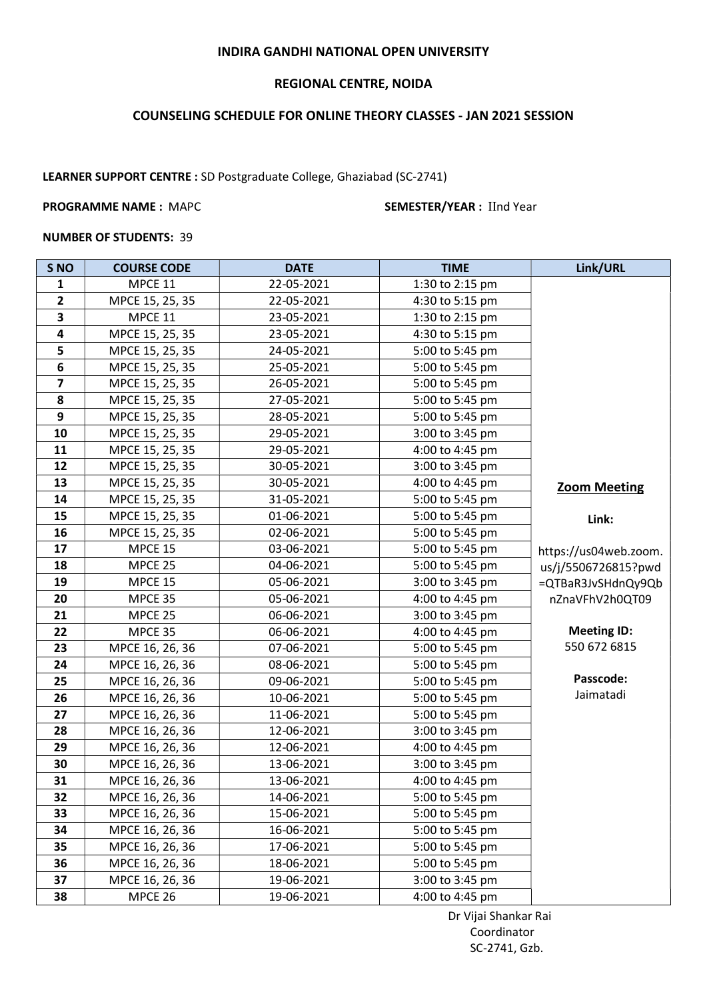## INDIRA GANDHI NATIONAL OPEN UNIVERSITY

## REGIONAL CENTRE, NOIDA

# COUNSELING SCHEDULE FOR ONLINE THEORY CLASSES - JAN 2021 SESSION

LEARNER SUPPORT CENTRE : SD Postgraduate College, Ghaziabad (SC-2741)

### PROGRAMME NAME : MAPC SEMESTER/YEAR : IInd Year

### NUMBER OF STUDENTS: 39

| S <sub>NO</sub>         | <b>COURSE CODE</b> | <b>DATE</b> | <b>TIME</b>     | Link/URL              |
|-------------------------|--------------------|-------------|-----------------|-----------------------|
| 1                       | MPCE 11            | 22-05-2021  | 1:30 to 2:15 pm |                       |
| $\mathbf{2}$            | MPCE 15, 25, 35    | 22-05-2021  | 4:30 to 5:15 pm |                       |
| 3                       | MPCE 11            | 23-05-2021  | 1:30 to 2:15 pm |                       |
| $\overline{\mathbf{4}}$ | MPCE 15, 25, 35    | 23-05-2021  | 4:30 to 5:15 pm |                       |
| 5                       | MPCE 15, 25, 35    | 24-05-2021  | 5:00 to 5:45 pm |                       |
| $\bf 6$                 | MPCE 15, 25, 35    | 25-05-2021  | 5:00 to 5:45 pm |                       |
| $\overline{\mathbf{z}}$ | MPCE 15, 25, 35    | 26-05-2021  | 5:00 to 5:45 pm |                       |
| 8                       | MPCE 15, 25, 35    | 27-05-2021  | 5:00 to 5:45 pm |                       |
| 9                       | MPCE 15, 25, 35    | 28-05-2021  | 5:00 to 5:45 pm |                       |
| 10                      | MPCE 15, 25, 35    | 29-05-2021  | 3:00 to 3:45 pm |                       |
| 11                      | MPCE 15, 25, 35    | 29-05-2021  | 4:00 to 4:45 pm |                       |
| 12                      | MPCE 15, 25, 35    | 30-05-2021  | 3:00 to 3:45 pm |                       |
| 13                      | MPCE 15, 25, 35    | 30-05-2021  | 4:00 to 4:45 pm | <b>Zoom Meeting</b>   |
| 14                      | MPCE 15, 25, 35    | 31-05-2021  | 5:00 to 5:45 pm |                       |
| 15                      | MPCE 15, 25, 35    | 01-06-2021  | 5:00 to 5:45 pm | Link:                 |
| 16                      | MPCE 15, 25, 35    | 02-06-2021  | 5:00 to 5:45 pm |                       |
| 17                      | <b>MPCE 15</b>     | 03-06-2021  | 5:00 to 5:45 pm | https://us04web.zoom. |
| 18                      | MPCE 25            | 04-06-2021  | 5:00 to 5:45 pm | us/j/5506726815?pwd   |
| 19                      | MPCE 15            | 05-06-2021  | 3:00 to 3:45 pm | =QTBaR3JvSHdnQy9Qb    |
| 20                      | MPCE 35            | 05-06-2021  | 4:00 to 4:45 pm | nZnaVFhV2h0QT09       |
| 21                      | MPCE 25            | 06-06-2021  | 3:00 to 3:45 pm |                       |
| 22                      | MPCE 35            | 06-06-2021  | 4:00 to 4:45 pm | <b>Meeting ID:</b>    |
| 23                      | MPCE 16, 26, 36    | 07-06-2021  | 5:00 to 5:45 pm | 550 672 6815          |
| 24                      | MPCE 16, 26, 36    | 08-06-2021  | 5:00 to 5:45 pm |                       |
| 25                      | MPCE 16, 26, 36    | 09-06-2021  | 5:00 to 5:45 pm | Passcode:             |
| 26                      | MPCE 16, 26, 36    | 10-06-2021  | 5:00 to 5:45 pm | Jaimatadi             |
| 27                      | MPCE 16, 26, 36    | 11-06-2021  | 5:00 to 5:45 pm |                       |
| 28                      | MPCE 16, 26, 36    | 12-06-2021  | 3:00 to 3:45 pm |                       |
| 29                      | MPCE 16, 26, 36    | 12-06-2021  | 4:00 to 4:45 pm |                       |
| 30                      | MPCE 16, 26, 36    | 13-06-2021  | 3:00 to 3:45 pm |                       |
| 31                      | MPCE 16, 26, 36    | 13-06-2021  | 4:00 to 4:45 pm |                       |
| 32                      | MPCE 16, 26, 36    | 14-06-2021  | 5:00 to 5:45 pm |                       |
| 33                      | MPCE 16, 26, 36    | 15-06-2021  | 5:00 to 5:45 pm |                       |
| 34                      | MPCE 16, 26, 36    | 16-06-2021  | 5:00 to 5:45 pm |                       |
| 35                      | MPCE 16, 26, 36    | 17-06-2021  | 5:00 to 5:45 pm |                       |
| 36                      | MPCE 16, 26, 36    | 18-06-2021  | 5:00 to 5:45 pm |                       |
| 37                      | MPCE 16, 26, 36    | 19-06-2021  | 3:00 to 3:45 pm |                       |
| 38                      | MPCE 26            | 19-06-2021  | 4:00 to 4:45 pm |                       |

 Dr Vijai Shankar Rai Coordinator SC-2741, Gzb.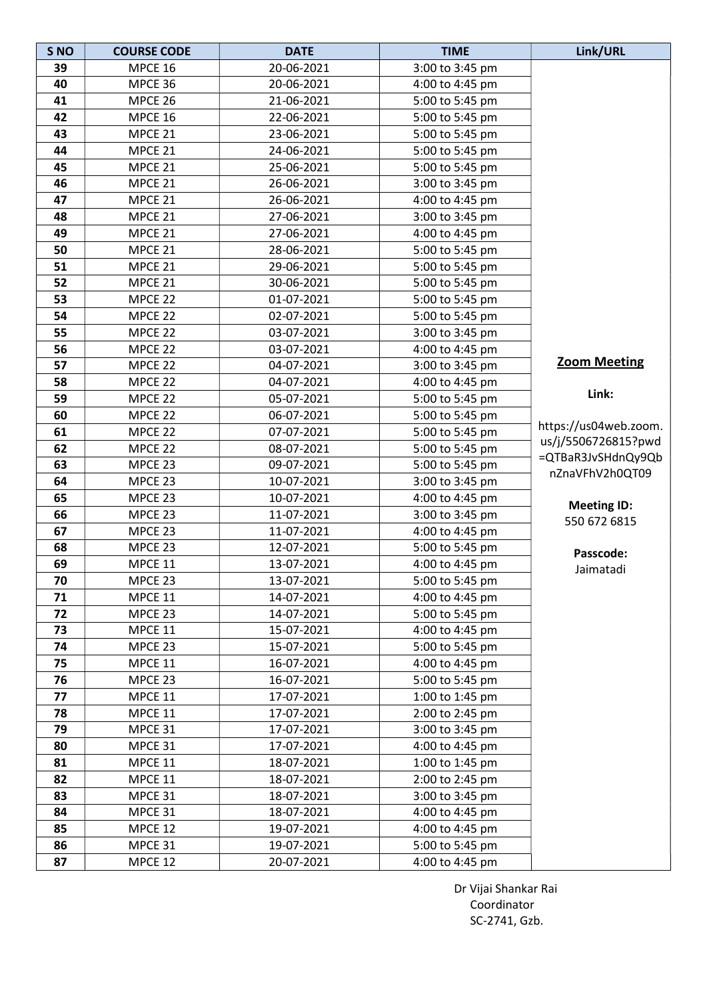| S <sub>NO</sub> | <b>COURSE CODE</b> | <b>DATE</b> | <b>TIME</b>     | Link/URL               |
|-----------------|--------------------|-------------|-----------------|------------------------|
| 39              | MPCE 16            | 20-06-2021  | 3:00 to 3:45 pm |                        |
| 40              | MPCE 36            | 20-06-2021  | 4:00 to 4:45 pm |                        |
| 41              | MPCE 26            | 21-06-2021  | 5:00 to 5:45 pm |                        |
| 42              | MPCE 16            | 22-06-2021  | 5:00 to 5:45 pm |                        |
| 43              | MPCE 21            | 23-06-2021  | 5:00 to 5:45 pm |                        |
| 44              | MPCE 21            | 24-06-2021  | 5:00 to 5:45 pm |                        |
| 45              | MPCE 21            | 25-06-2021  | 5:00 to 5:45 pm |                        |
| 46              | MPCE 21            | 26-06-2021  | 3:00 to 3:45 pm |                        |
| 47              | MPCE 21            | 26-06-2021  | 4:00 to 4:45 pm |                        |
| 48              | MPCE 21            | 27-06-2021  | 3:00 to 3:45 pm |                        |
| 49              | MPCE 21            | 27-06-2021  | 4:00 to 4:45 pm |                        |
| 50              | MPCE 21            | 28-06-2021  | 5:00 to 5:45 pm |                        |
| 51              | MPCE 21            | 29-06-2021  | 5:00 to 5:45 pm |                        |
| 52              | MPCE 21            | 30-06-2021  | 5:00 to 5:45 pm |                        |
| 53              | MPCE 22            | 01-07-2021  | 5:00 to 5:45 pm |                        |
| 54              | MPCE 22            | 02-07-2021  | 5:00 to 5:45 pm |                        |
| 55              | MPCE 22            | 03-07-2021  | 3:00 to 3:45 pm |                        |
| 56              | MPCE 22            | 03-07-2021  | 4:00 to 4:45 pm |                        |
| 57              | MPCE 22            | 04-07-2021  | 3:00 to 3:45 pm | <b>Zoom Meeting</b>    |
| 58              | MPCE 22            | 04-07-2021  | 4:00 to 4:45 pm |                        |
| 59              | MPCE 22            | 05-07-2021  | 5:00 to 5:45 pm | Link:                  |
| 60              | MPCE 22            | 06-07-2021  | 5:00 to 5:45 pm |                        |
| 61              | MPCE 22            | 07-07-2021  | 5:00 to 5:45 pm | https://us04web.zoom.  |
| 62              | MPCE 22            | 08-07-2021  | 5:00 to 5:45 pm | us/j/5506726815?pwd    |
| 63              | MPCE 23            | 09-07-2021  | 5:00 to 5:45 pm | =QTBaR3JvSHdnQy9Qb     |
| 64              | MPCE 23            | 10-07-2021  | 3:00 to 3:45 pm | nZnaVFhV2h0QT09        |
| 65              | MPCE 23            | 10-07-2021  | 4:00 to 4:45 pm |                        |
| 66              | MPCE 23            | 11-07-2021  | 3:00 to 3:45 pm | <b>Meeting ID:</b>     |
| 67              | MPCE 23            | 11-07-2021  | 4:00 to 4:45 pm | 550 672 6815           |
| 68              | MPCE 23            | 12-07-2021  | 5:00 to 5:45 pm |                        |
| 69              | MPCE 11            | 13-07-2021  | 4:00 to 4:45 pm | Passcode:<br>Jaimatadi |
| 70              | MPCE 23            | 13-07-2021  | 5:00 to 5:45 pm |                        |
| 71              | MPCE 11            | 14-07-2021  | 4:00 to 4:45 pm |                        |
| 72              | MPCE 23            | 14-07-2021  | 5:00 to 5:45 pm |                        |
| 73              | MPCE 11            | 15-07-2021  | 4:00 to 4:45 pm |                        |
| 74              | MPCE 23            | 15-07-2021  | 5:00 to 5:45 pm |                        |
| 75              | MPCE 11            | 16-07-2021  | 4:00 to 4:45 pm |                        |
| 76              | MPCE 23            | 16-07-2021  | 5:00 to 5:45 pm |                        |
| 77              | <b>MPCE 11</b>     | 17-07-2021  | 1:00 to 1:45 pm |                        |
| 78              | MPCE 11            | 17-07-2021  | 2:00 to 2:45 pm |                        |
| 79              | MPCE 31            | 17-07-2021  | 3:00 to 3:45 pm |                        |
| 80              | MPCE 31            | 17-07-2021  | 4:00 to 4:45 pm |                        |
| 81              | MPCE 11            | 18-07-2021  | 1:00 to 1:45 pm |                        |
| 82              | MPCE 11            | 18-07-2021  | 2:00 to 2:45 pm |                        |
| 83              | MPCE 31            | 18-07-2021  | 3:00 to 3:45 pm |                        |
| 84              | MPCE 31            | 18-07-2021  | 4:00 to 4:45 pm |                        |
| 85              | MPCE 12            | 19-07-2021  | 4:00 to 4:45 pm |                        |
| 86              | MPCE 31            | 19-07-2021  | 5:00 to 5:45 pm |                        |
| 87              | MPCE 12            | 20-07-2021  | 4:00 to 4:45 pm |                        |

 Dr Vijai Shankar Rai Coordinator SC-2741, Gzb.